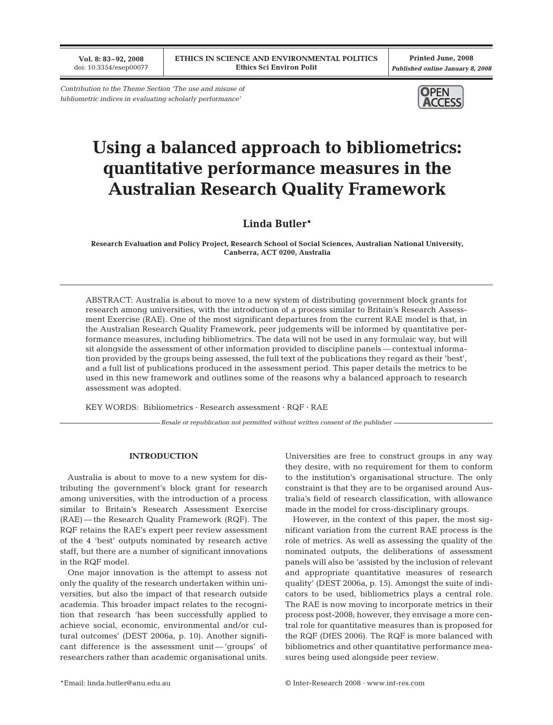**Vol. 8: 83–92, 2008** doi: 10.3354/esep00077

**Printed June, 2008** *Published online January 8, 2008*

*Contribution to the Theme Section 'The use and misuse of bibliometric indices in evaluating scholarly performance'*



# **Using a balanced approach to bibliometrics: quantitative performance measures in the Australian Research Quality Framework**

**Linda Butler\***

**Research Evaluation and Policy Project, Research School of Social Sciences, Australian National University, Canberra, ACT 0200, Australia**

ABSTRACT: Australia is about to move to a new system of distributing government block grants for research among universities, with the introduction of a process similar to Britain's Research Assessment Exercise (RAE). One of the most significant departures from the current RAE model is that, in the Australian Research Quality Framework, peer judgements will be informed by quantitative performance measures, including bibliometrics. The data will not be used in any formulaic way, but will sit alongside the assessment of other information provided to discipline panels — contextual information provided by the groups being assessed, the full text of the publications they regard as their 'best', and a full list of publications produced in the assessment period. This paper details the metrics to be used in this new framework and outlines some of the reasons why a balanced approach to research assessment was adopted.

KEY WORDS: Bibliometrics · Research assessment · RQF · RAE

*Resale or republication not permitted without written consent of the publisher*

# **INTRODUCTION**

Australia is about to move to a new system for distributing the government's block grant for research among universities, with the introduction of a process similar to Britain's Research Assessment Exercise (RAE) — the Research Quality Framework (RQF). The RQF retains the RAE's expert peer review assessment of the 4 'best' outputs nominated by research active staff, but there are a number of significant innovations in the RQF model.

One major innovation is the attempt to assess not only the quality of the research undertaken within universities, but also the impact of that research outside academia. This broader impact relates to the recognition that research 'has been successfully applied to achieve social, economic, environmental and/or cultural outcomes' (DEST 2006a, p. 10). Another significant difference is the assessment unit—'groups' of researchers rather than academic organisational units.

Universities are free to construct groups in any way they desire, with no requirement for them to conform to the institution's organisational structure. The only constraint is that they are to be organised around Australia's field of research classification, with allowance made in the model for cross-disciplinary groups.

However, in the context of this paper, the most significant variation from the current RAE process is the role of metrics. As well as assessing the quality of the nominated outputs, the deliberations of assessment panels will also be 'assisted by the inclusion of relevant and appropriate quantitative measures of research quality' (DEST 2006a, p. 15). Amongst the suite of indicators to be used, bibliometrics plays a central role. The RAE is now moving to incorporate metrics in their process post-2008; however, they envisage a more central role for quantitative measures than is proposed for the RQF (DfES 2006). The RQF is more balanced with bibliometrics and other quantitative performance measures being used alongside peer review.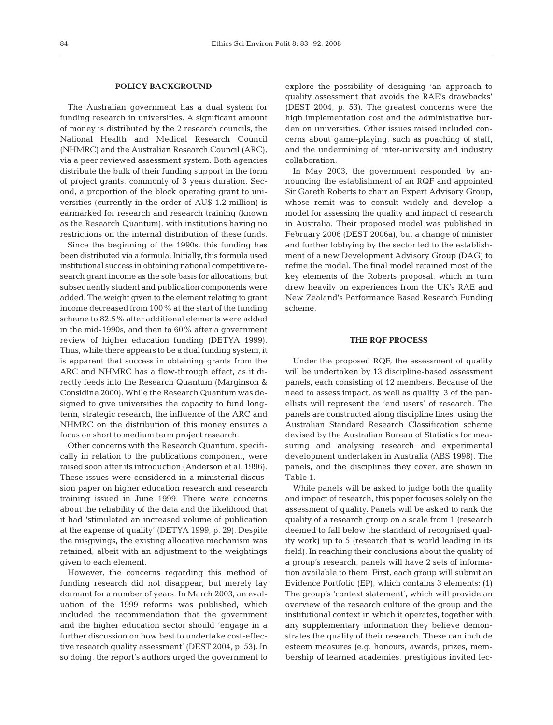## **POLICY BACKGROUND**

The Australian government has a dual system for funding research in universities. A significant amount of money is distributed by the 2 research councils, the National Health and Medical Research Council (NHMRC) and the Australian Research Council (ARC), via a peer reviewed assessment system. Both agencies distribute the bulk of their funding support in the form of project grants, commonly of 3 years duration. Second, a proportion of the block operating grant to universities (currently in the order of AU\$ 1.2 million) is earmarked for research and research training (known as the Research Quantum), with institutions having no restrictions on the internal distribution of these funds.

Since the beginning of the 1990s, this funding has been distributed via a formula. Initially, this formula used institutional success in obtaining national competitive research grant income as the sole basis for allocations, but subsequently student and publication components were added. The weight given to the element relating to grant income decreased from 100% at the start of the funding scheme to 82.5% after additional elements were added in the mid-1990s, and then to 60% after a government review of higher education funding (DETYA 1999). Thus, while there appears to be a dual funding system, it is apparent that success in obtaining grants from the ARC and NHMRC has a flow-through effect, as it directly feeds into the Research Quantum (Marginson & Considine 2000). While the Research Quantum was designed to give universities the capacity to fund longterm, strategic research, the influence of the ARC and NHMRC on the distribution of this money ensures a focus on short to medium term project research.

Other concerns with the Research Quantum, specifically in relation to the publications component, were raised soon after its introduction (Anderson et al. 1996). These issues were considered in a ministerial discussion paper on higher education research and research training issued in June 1999. There were concerns about the reliability of the data and the likelihood that it had 'stimulated an increased volume of publication at the expense of quality' (DETYA 1999, p. 29). Despite the misgivings, the existing allocative mechanism was retained, albeit with an adjustment to the weightings given to each element.

However, the concerns regarding this method of funding research did not disappear, but merely lay dormant for a number of years. In March 2003, an evaluation of the 1999 reforms was published, which included the recommendation that the government and the higher education sector should 'engage in a further discussion on how best to undertake cost-effective research quality assessment' (DEST 2004, p. 53). In so doing, the report's authors urged the government to

explore the possibility of designing 'an approach to quality assessment that avoids the RAE's drawbacks' (DEST 2004, p. 53). The greatest concerns were the high implementation cost and the administrative burden on universities. Other issues raised included concerns about game-playing, such as poaching of staff, and the undermining of inter-university and industry collaboration.

In May 2003, the government responded by announcing the establishment of an RQF and appointed Sir Gareth Roberts to chair an Expert Advisory Group, whose remit was to consult widely and develop a model for assessing the quality and impact of research in Australia. Their proposed model was published in February 2006 (DEST 2006a), but a change of minister and further lobbying by the sector led to the establishment of a new Development Advisory Group (DAG) to refine the model. The final model retained most of the key elements of the Roberts proposal, which in turn drew heavily on experiences from the UK's RAE and New Zealand's Performance Based Research Funding scheme.

# **THE RQF PROCESS**

Under the proposed RQF, the assessment of quality will be undertaken by 13 discipline-based assessment panels, each consisting of 12 members. Because of the need to assess impact, as well as quality, 3 of the panellists will represent the 'end users' of research. The panels are constructed along discipline lines, using the Australian Standard Research Classification scheme devised by the Australian Bureau of Statistics for measuring and analysing research and experimental development undertaken in Australia (ABS 1998). The panels, and the disciplines they cover, are shown in Table 1.

While panels will be asked to judge both the quality and impact of research, this paper focuses solely on the assessment of quality. Panels will be asked to rank the quality of a research group on a scale from 1 (research deemed to fall below the standard of recognised quality work) up to 5 (research that is world leading in its field). In reaching their conclusions about the quality of a group's research, panels will have 2 sets of information available to them. First, each group will submit an Evidence Portfolio (EP), which contains 3 elements: (1) The group's 'context statement', which will provide an overview of the research culture of the group and the institutional context in which it operates, together with any supplementary information they believe demonstrates the quality of their research. These can include esteem measures (e.g. honours, awards, prizes, membership of learned academies, prestigious invited lec-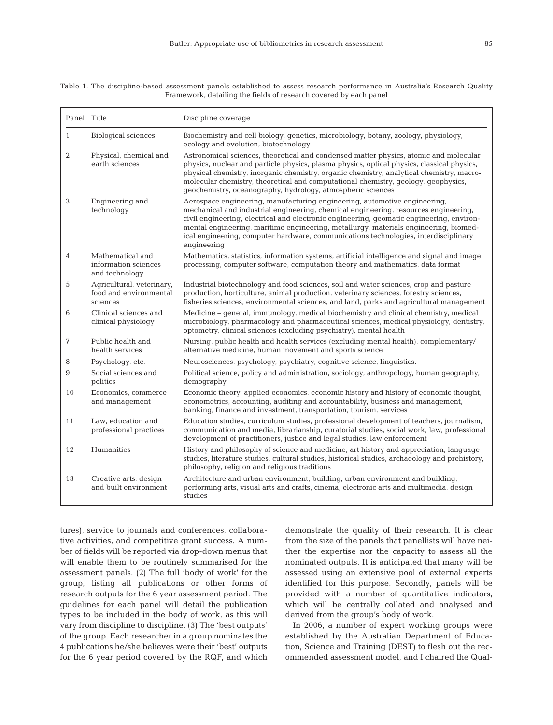|                                                                   | Table 1. The discipline-based assessment panels established to assess research performance in Australia's Research Quality |  |  |  |  |  |  |  |  |
|-------------------------------------------------------------------|----------------------------------------------------------------------------------------------------------------------------|--|--|--|--|--|--|--|--|
| Framework, detailing the fields of research covered by each panel |                                                                                                                            |  |  |  |  |  |  |  |  |

| Panel Title  |                                                                 | Discipline coverage                                                                                                                                                                                                                                                                                                                                                                                                                                        |
|--------------|-----------------------------------------------------------------|------------------------------------------------------------------------------------------------------------------------------------------------------------------------------------------------------------------------------------------------------------------------------------------------------------------------------------------------------------------------------------------------------------------------------------------------------------|
| $\mathbf{1}$ | <b>Biological sciences</b>                                      | Biochemistry and cell biology, genetics, microbiology, botany, zoology, physiology,<br>ecology and evolution, biotechnology                                                                                                                                                                                                                                                                                                                                |
| 2            | Physical, chemical and<br>earth sciences                        | Astronomical sciences, theoretical and condensed matter physics, atomic and molecular<br>physics, nuclear and particle physics, plasma physics, optical physics, classical physics,<br>physical chemistry, inorganic chemistry, organic chemistry, analytical chemistry, macro-<br>molecular chemistry, theoretical and computational chemistry, geology, geophysics,<br>geochemistry, oceanography, hydrology, atmospheric sciences                       |
| 3            | Engineering and<br>technology                                   | Aerospace engineering, manufacturing engineering, automotive engineering,<br>mechanical and industrial engineering, chemical engineering, resources engineering,<br>civil engineering, electrical and electronic engineering, geomatic engineering, environ-<br>mental engineering, maritime engineering, metallurgy, materials engineering, biomed-<br>ical engineering, computer hardware, communications technologies, interdisciplinary<br>engineering |
| 4            | Mathematical and<br>information sciences<br>and technology      | Mathematics, statistics, information systems, artificial intelligence and signal and image<br>processing, computer software, computation theory and mathematics, data format                                                                                                                                                                                                                                                                               |
| 5            | Agricultural, veterinary,<br>food and environmental<br>sciences | Industrial biotechnology and food sciences, soil and water sciences, crop and pasture<br>production, horticulture, animal production, veterinary sciences, forestry sciences,<br>fisheries sciences, environmental sciences, and land, parks and agricultural management                                                                                                                                                                                   |
| 6            | Clinical sciences and<br>clinical physiology                    | Medicine – general, immunology, medical biochemistry and clinical chemistry, medical<br>microbiology, pharmacology and pharmaceutical sciences, medical physiology, dentistry,<br>optometry, clinical sciences (excluding psychiatry), mental health                                                                                                                                                                                                       |
| 7            | Public health and<br>health services                            | Nursing, public health and health services (excluding mental health), complementary/<br>alternative medicine, human movement and sports science                                                                                                                                                                                                                                                                                                            |
| 8            | Psychology, etc.                                                | Neurosciences, psychology, psychiatry, cognitive science, linguistics.                                                                                                                                                                                                                                                                                                                                                                                     |
| 9            | Social sciences and<br>politics                                 | Political science, policy and administration, sociology, anthropology, human geography,<br>demography                                                                                                                                                                                                                                                                                                                                                      |
| 10           | Economics, commerce<br>and management                           | Economic theory, applied economics, economic history and history of economic thought,<br>econometrics, accounting, auditing and accountability, business and management,<br>banking, finance and investment, transportation, tourism, services                                                                                                                                                                                                             |
| 11           | Law, education and<br>professional practices                    | Education studies, curriculum studies, professional development of teachers, journalism,<br>communication and media, librarianship, curatorial studies, social work, law, professional<br>development of practitioners, justice and legal studies, law enforcement                                                                                                                                                                                         |
| 12           | Humanities                                                      | History and philosophy of science and medicine, art history and appreciation, language<br>studies, literature studies, cultural studies, historical studies, archaeology and prehistory,<br>philosophy, religion and religious traditions                                                                                                                                                                                                                  |
| 13           | Creative arts, design<br>and built environment                  | Architecture and urban environment, building, urban environment and building,<br>performing arts, visual arts and crafts, cinema, electronic arts and multimedia, design<br>studies                                                                                                                                                                                                                                                                        |

tures), service to journals and conferences, collaborative activities, and competitive grant success. A number of fields will be reported via drop-down menus that will enable them to be routinely summarised for the assessment panels. (2) The full 'body of work' for the group, listing all publications or other forms of research outputs for the 6 year assessment period. The guidelines for each panel will detail the publication types to be included in the body of work, as this will vary from discipline to discipline. (3) The 'best outputs' of the group. Each researcher in a group nominates the 4 publications he/she believes were their 'best' outputs for the 6 year period covered by the RQF, and which

demonstrate the quality of their research. It is clear from the size of the panels that panellists will have neither the expertise nor the capacity to assess all the nominated outputs. It is anticipated that many will be assessed using an extensive pool of external experts identified for this purpose. Secondly, panels will be provided with a number of quantitative indicators, which will be centrally collated and analysed and derived from the group's body of work.

In 2006, a number of expert working groups were established by the Australian Department of Education, Science and Training (DEST) to flesh out the recommended assessment model, and I chaired the Qual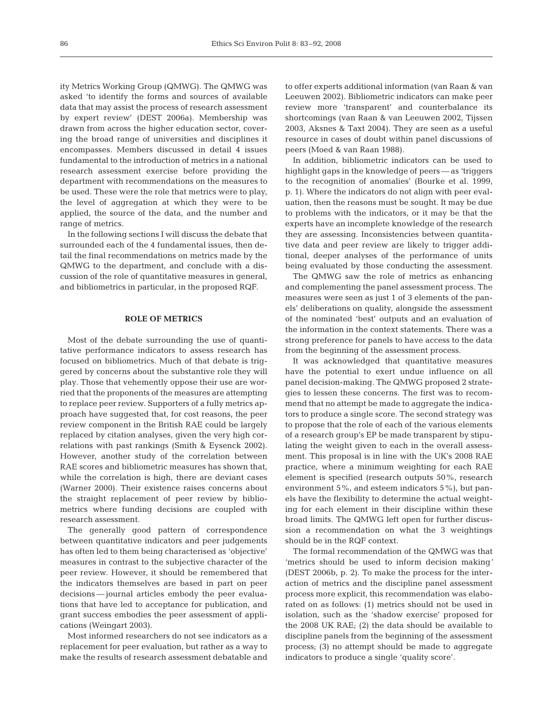ity Metrics Working Group (QMWG). The QMWG was asked 'to identify the forms and sources of available data that may assist the process of research assessment by expert review' (DEST 2006a). Membership was drawn from across the higher education sector, covering the broad range of universities and disciplines it encompasses. Members discussed in detail 4 issues fundamental to the introduction of metrics in a national research assessment exercise before providing the department with recommendations on the measures to be used. These were the role that metrics were to play, the level of aggregation at which they were to be applied, the source of the data, and the number and range of metrics.

In the following sections I will discuss the debate that surrounded each of the 4 fundamental issues, then detail the final recommendations on metrics made by the QMWG to the department, and conclude with a discussion of the role of quantitative measures in general, and bibliometrics in particular, in the proposed RQF.

# **ROLE OF METRICS**

Most of the debate surrounding the use of quantitative performance indicators to assess research has focused on bibliometrics. Much of that debate is triggered by concerns about the substantive role they will play. Those that vehemently oppose their use are worried that the proponents of the measures are attempting to replace peer review. Supporters of a fully metrics approach have suggested that, for cost reasons, the peer review component in the British RAE could be largely replaced by citation analyses, given the very high correlations with past rankings (Smith & Eysenck 2002). However, another study of the correlation between RAE scores and bibliometric measures has shown that, while the correlation is high, there are deviant cases (Warner 2000). Their existence raises concerns about the straight replacement of peer review by bibliometrics where funding decisions are coupled with research assessment.

The generally good pattern of correspondence between quantitative indicators and peer judgements has often led to them being characterised as 'objective' measures in contrast to the subjective character of the peer review. However, it should be remembered that the indicators themselves are based in part on peer decisions — journal articles embody the peer evaluations that have led to acceptance for publication, and grant success embodies the peer assessment of applications (Weingart 2003).

Most informed researchers do not see indicators as a replacement for peer evaluation, but rather as a way to make the results of research assessment debatable and to offer experts additional information (van Raan & van Leeuwen 2002). Bibliometric indicators can make peer review more 'transparent' and counterbalance its shortcomings (van Raan & van Leeuwen 2002, Tijssen 2003, Aksnes & Taxt 2004). They are seen as a useful resource in cases of doubt within panel discussions of peers (Moed & van Raan 1988).

In addition, bibliometric indicators can be used to highlight gaps in the knowledge of peers — as 'triggers to the recognition of anomalies' (Bourke et al. 1999, p. 1). Where the indicators do not align with peer evaluation, then the reasons must be sought. It may be due to problems with the indicators, or it may be that the experts have an incomplete knowledge of the research they are assessing. Inconsistencies between quantitative data and peer review are likely to trigger additional, deeper analyses of the performance of units being evaluated by those conducting the assessment.

The QMWG saw the role of metrics as enhancing and complementing the panel assessment process. The measures were seen as just 1 of 3 elements of the panels' deliberations on quality, alongside the assessment of the nominated 'best' outputs and an evaluation of the information in the context statements. There was a strong preference for panels to have access to the data from the beginning of the assessment process.

It was acknowledged that quantitative measures have the potential to exert undue influence on all panel decision-making. The QMWG proposed 2 strategies to lessen these concerns. The first was to recommend that no attempt be made to aggregate the indicators to produce a single score. The second strategy was to propose that the role of each of the various elements of a research group's EP be made transparent by stipulating the weight given to each in the overall assessment. This proposal is in line with the UK's 2008 RAE practice, where a minimum weighting for each RAE element is specified (research outputs 50%, research environment 5%, and esteem indicators 5%), but panels have the flexibility to determine the actual weighting for each element in their discipline within these broad limits. The QMWG left open for further discussion a recommendation on what the 3 weightings should be in the RQF context.

The formal recommendation of the QMWG was that 'metrics should be used to inform decision making*'* (DEST 2006b, p. 2). To make the process for the interaction of metrics and the discipline panel assessment process more explicit, this recommendation was elaborated on as follows: (1) metrics should not be used in isolation, such as the 'shadow exercise' proposed for the 2008 UK RAE; (2) the data should be available to discipline panels from the beginning of the assessment process; (3) no attempt should be made to aggregate indicators to produce a single 'quality score'.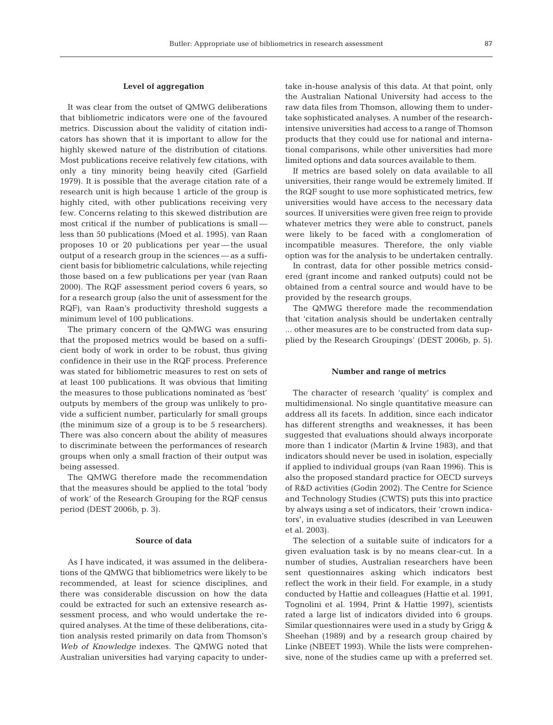# **Level of aggregation**

It was clear from the outset of QMWG deliberations that bibliometric indicators were one of the favoured metrics. Discussion about the validity of citation indicators has shown that it is important to allow for the highly skewed nature of the distribution of citations. Most publications receive relatively few citations, with only a tiny minority being heavily cited (Garfield 1979). It is possible that the average citation rate of a research unit is high because 1 article of the group is highly cited, with other publications receiving very few. Concerns relating to this skewed distribution are most critical if the number of publications is small less than 50 publications (Moed et al. 1995). van Raan proposes 10 or 20 publications per year — the usual output of a research group in the sciences — as a sufficient basis for bibliometric calculations, while rejecting those based on a few publications per year (van Raan 2000). The RQF assessment period covers 6 years, so for a research group (also the unit of assessment for the RQF), van Raan's productivity threshold suggests a minimum level of 100 publications.

The primary concern of the QMWG was ensuring that the proposed metrics would be based on a sufficient body of work in order to be robust, thus giving confidence in their use in the RQF process. Preference was stated for bibliometric measures to rest on sets of at least 100 publications. It was obvious that limiting the measures to those publications nominated as 'best' outputs by members of the group was unlikely to provide a sufficient number, particularly for small groups (the minimum size of a group is to be 5 researchers). There was also concern about the ability of measures to discriminate between the performances of research groups when only a small fraction of their output was being assessed.

The QMWG therefore made the recommendation that the measures should be applied to the total 'body of work' of the Research Grouping for the RQF census period (DEST 2006b, p. 3).

## **Source of data**

As I have indicated, it was assumed in the deliberations of the QMWG that bibliometrics were likely to be recommended, at least for science disciplines, and there was considerable discussion on how the data could be extracted for such an extensive research assessment process, and who would undertake the required analyses. At the time of these deliberations, citation analysis rested primarily on data from Thomson's *Web of Knowledge* indexes. The QMWG noted that Australian universities had varying capacity to undertake in-house analysis of this data. At that point, only the Australian National University had access to the raw data files from Thomson, allowing them to undertake sophisticated analyses. A number of the researchintensive universities had access to a range of Thomson products that they could use for national and international comparisons, while other universities had more limited options and data sources available to them.

If metrics are based solely on data available to all universities, their range would be extremely limited. If the RQF sought to use more sophisticated metrics, few universities would have access to the necessary data sources. If universities were given free reign to provide whatever metrics they were able to construct, panels were likely to be faced with a conglomeration of incompatible measures. Therefore, the only viable option was for the analysis to be undertaken centrally.

In contrast, data for other possible metrics considered (grant income and ranked outputs) could not be obtained from a central source and would have to be provided by the research groups.

The QMWG therefore made the recommendation that 'citation analysis should be undertaken centrally ... other measures are to be constructed from data supplied by the Research Groupings' (DEST 2006b, p. 5).

## **Number and range of metrics**

The character of research 'quality' is complex and multidimensional. No single quantitative measure can address all its facets. In addition, since each indicator has different strengths and weaknesses, it has been suggested that evaluations should always incorporate more than 1 indicator (Martin & Irvine 1983), and that indicators should never be used in isolation, especially if applied to individual groups (van Raan 1996). This is also the proposed standard practice for OECD surveys of R&D activities (Godin 2002). The Centre for Science and Technology Studies (CWTS) puts this into practice by always using a set of indicators, their 'crown indicators', in evaluative studies (described in van Leeuwen et al. 2003).

The selection of a suitable suite of indicators for a given evaluation task is by no means clear-cut. In a number of studies, Australian researchers have been sent questionnaires asking which indicators best reflect the work in their field. For example, in a study conducted by Hattie and colleagues (Hattie et al. 1991, Tognolini et al. 1994, Print & Hattie 1997), scientists rated a large list of indicators divided into 6 groups. Similar questionnaires were used in a study by Grigg & Sheehan (1989) and by a research group chaired by Linke (NBEET 1993). While the lists were comprehensive, none of the studies came up with a preferred set.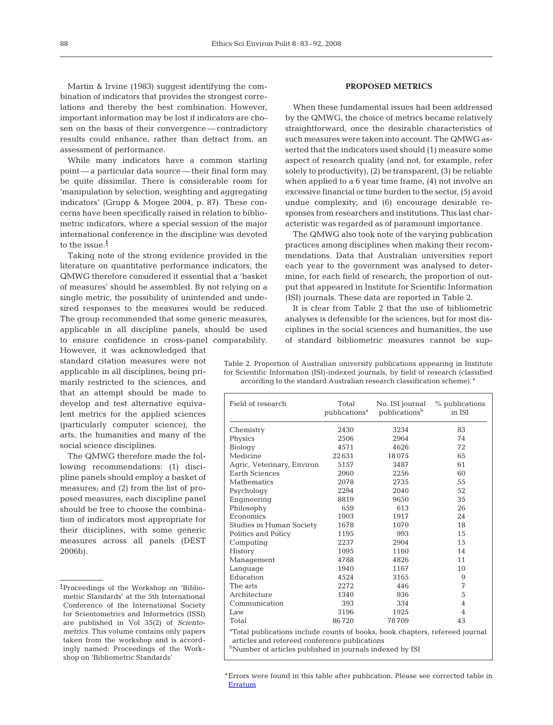Martin & Irvine (1983) suggest identifying the combination of indicators that provides the strongest correlations and thereby the best combination. However, important information may be lost if indicators are chosen on the basis of their convergence — contradictory results could enhance, rather than detract from, an assessment of performance.

While many indicators have a common starting point — a particular data source — their final form may be quite dissimilar. There is considerable room for 'manipulation by selection, weighting and aggregating indicators' (Grupp & Mogee 2004, p. 87). These concerns have been specifically raised in relation to bibliometric indicators, where a special session of the major international conference in the discipline was devoted to the issue.**<sup>1</sup>**

Taking note of the strong evidence provided in the literature on quantitative performance indicators, the QMWG therefore considered it essential that a 'basket of measures' should be assembled. By not relying on a single metric, the possibility of unintended and undesired responses to the measures would be reduced. The group recommended that some generic measures, applicable in all discipline panels, should be used

to ensure confidence in cross-panel comparability. However, it was acknowledged that standard citation measures were not applicable in all disciplines, being primarily restricted to the sciences, and that an attempt should be made to develop and test alternative equivalent metrics for the applied sciences (particularly computer science), the arts, the humanities and many of the social science disciplines.

The QMWG therefore made the following recommendations: (1) discipline panels should employ a basket of measures; and (2) from the list of proposed measures, each discipline panel should be free to choose the combination of indicators most appropriate for their disciplines, with some generic measures across all panels (DEST 2006b).

# **PROPOSED METRICS**

When these fundamental issues had been addressed by the QMWG, the choice of metrics became relatively straightforward, once the desirable characteristics of such measures were taken into account. The QMWG asserted that the indicators used should (1) measure some aspect of research quality (and not, for example, refer solely to productivity), (2) be transparent, (3) be reliable when applied to a 6 year time frame, (4) not involve an excessive financial or time burden to the sector, (5) avoid undue complexity, and (6) encourage desirable responses from researchers and institutions. This last characteristic was regarded as of paramount importance.

The QMWG also took note of the varying publication practices among disciplines when making their recommendations. Data that Australian universities report each year to the government was analysed to determine, for each field of research, the proportion of output that appeared in Institute for Scientific Information (ISI) journals. These data are reported in Table 2.

It is clear from Table 2 that the use of bibliometric analyses is defensible for the sciences, but for most disciplines in the social sciences and humanities, the use of standard bibliometric measures cannot be sup-

| Table 2. Proportion of Australian university publications appearing in Institute    |
|-------------------------------------------------------------------------------------|
| for Scientific Information (ISI)-indexed journals, by field of research (classified |
| according to the standard Australian research classification scheme). <sup>*</sup>  |

| Field of research                                                                                                                                                                                                 | Total<br>publications <sup>a</sup> | No. ISI journal<br>publications <sup>b</sup> | % publications<br>in ISI |  |  |  |  |
|-------------------------------------------------------------------------------------------------------------------------------------------------------------------------------------------------------------------|------------------------------------|----------------------------------------------|--------------------------|--|--|--|--|
| Chemistry                                                                                                                                                                                                         | 2430                               | 3234                                         | 83                       |  |  |  |  |
| Physics                                                                                                                                                                                                           | 2506                               | 2964                                         | 74                       |  |  |  |  |
| Biology                                                                                                                                                                                                           | 4571                               | 4626                                         | 72                       |  |  |  |  |
| Medicine                                                                                                                                                                                                          | 22631                              | 18075                                        | 65                       |  |  |  |  |
| Agric, Veterinary, Environ                                                                                                                                                                                        | 5157                               | 3487                                         | 61                       |  |  |  |  |
| <b>Earth Sciences</b>                                                                                                                                                                                             | 2060                               | 2256                                         | 60                       |  |  |  |  |
| Mathematics                                                                                                                                                                                                       | 2078                               | 2735                                         | 55                       |  |  |  |  |
| Psychology                                                                                                                                                                                                        | 2294                               | 2040                                         | 52                       |  |  |  |  |
| Engineering                                                                                                                                                                                                       | 8819                               | 9650                                         | 35                       |  |  |  |  |
| Philosophy                                                                                                                                                                                                        | 659                                | 613                                          | 26                       |  |  |  |  |
| Economics                                                                                                                                                                                                         | 1903                               | 1917                                         | 24                       |  |  |  |  |
| <b>Studies in Human Society</b>                                                                                                                                                                                   | 1678                               | 1070                                         | 18                       |  |  |  |  |
| Politics and Policy                                                                                                                                                                                               | 1195                               | 993                                          | 15                       |  |  |  |  |
| Computing                                                                                                                                                                                                         | 2237                               | 2904                                         | 15                       |  |  |  |  |
| History                                                                                                                                                                                                           | 1095                               | 1160                                         | 14                       |  |  |  |  |
| Management                                                                                                                                                                                                        | 4788                               | 4826                                         | 11                       |  |  |  |  |
| Language                                                                                                                                                                                                          | 1940                               | 1167                                         | 10                       |  |  |  |  |
| Education                                                                                                                                                                                                         | 4524                               | 3165                                         | 9                        |  |  |  |  |
| The arts                                                                                                                                                                                                          | 2272                               | 446                                          | 7                        |  |  |  |  |
| Architecture                                                                                                                                                                                                      | 1340                               | 936                                          | 5                        |  |  |  |  |
| Communication                                                                                                                                                                                                     | 393                                | 334                                          | $\overline{4}$           |  |  |  |  |
| Law                                                                                                                                                                                                               | 3196                               | 1925                                         | $\overline{4}$           |  |  |  |  |
| Total                                                                                                                                                                                                             | 86720                              | 78709                                        | 43                       |  |  |  |  |
| <sup>a</sup> Total publications include counts of books, book chapters, refereed journal<br>articles and refereed conference publications<br><sup>b</sup> Number of articles published in journals indexed by ISI |                                    |                                              |                          |  |  |  |  |

<sup>\*</sup>Errors were found in this table after publication. Please see corrected table in [Erratum](http://www.int-res.com/articles/esep2008/8/e008p083_err.pdf)

**<sup>1</sup>**Proceedings of the Workshop on 'Bibliometric Standards' at the 5th International Conference of the International Society for Scientometrics and Informetrics (ISSI) are published in Vol 35(2) of *Scientometrics*. This volume contains only papers taken from the workshop and is accordingly named: Proceedings of the Workshop on 'Bibliometric Standards'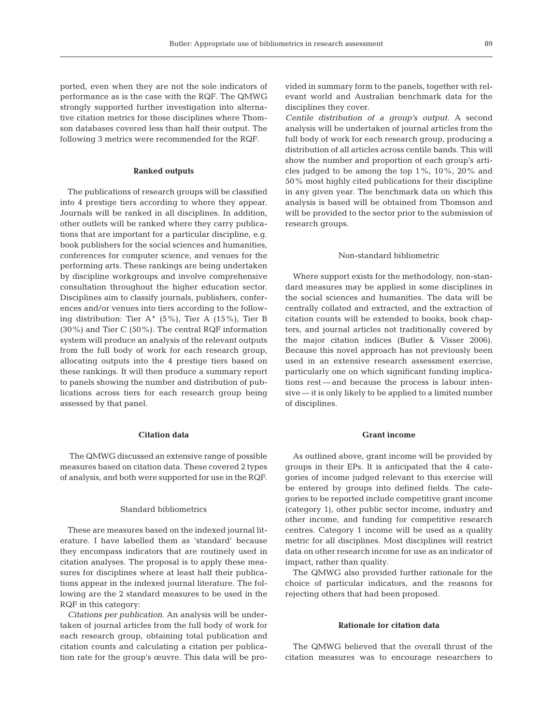ported, even when they are not the sole indicators of performance as is the case with the RQF. The QMWG strongly supported further investigation into alternative citation metrics for those disciplines where Thomson databases covered less than half their output. The following 3 metrics were recommended for the RQF.

#### **Ranked outputs**

The publications of research groups will be classified into 4 prestige tiers according to where they appear. Journals will be ranked in all disciplines. In addition, other outlets will be ranked where they carry publications that are important for a particular discipline, e.g. book publishers for the social sciences and humanities, conferences for computer science, and venues for the performing arts. These rankings are being undertaken by discipline workgroups and involve comprehensive consultation throughout the higher education sector. Disciplines aim to classify journals, publishers, conferences and/or venues into tiers according to the following distribution: Tier A\* (5%), Tier A (15%), Tier B (30%) and Tier C (50%). The central RQF information system will produce an analysis of the relevant outputs from the full body of work for each research group, allocating outputs into the 4 prestige tiers based on these rankings. It will then produce a summary report to panels showing the number and distribution of publications across tiers for each research group being assessed by that panel.

# **Citation data**

The QMWG discussed an extensive range of possible measures based on citation data. These covered 2 types of analysis, and both were supported for use in the RQF.

# Standard bibliometrics

These are measures based on the indexed journal literature. I have labelled them as 'standard' because they encompass indicators that are routinely used in citation analyses. The proposal is to apply these measures for disciplines where at least half their publications appear in the indexed journal literature. The following are the 2 standard measures to be used in the RQF in this category:

*Citations per publication.* An analysis will be undertaken of journal articles from the full body of work for each research group, obtaining total publication and citation counts and calculating a citation per publication rate for the group's œuvre. This data will be provided in summary form to the panels, together with relevant world and Australian benchmark data for the disciplines they cover.

*Centile distribution of a group's output.* A second analysis will be undertaken of journal articles from the full body of work for each research group, producing a distribution of all articles across centile bands. This will show the number and proportion of each group's articles judged to be among the top 1%, 10%, 20% and 50% most highly cited publications for their discipline in any given year. The benchmark data on which this analysis is based will be obtained from Thomson and will be provided to the sector prior to the submission of research groups.

#### Non-standard bibliometric

Where support exists for the methodology, non-standard measures may be applied in some disciplines in the social sciences and humanities. The data will be centrally collated and extracted, and the extraction of citation counts will be extended to books, book chapters, and journal articles not traditionally covered by the major citation indices (Butler & Visser 2006). Because this novel approach has not previously been used in an extensive research assessment exercise, particularly one on which significant funding implications rest—and because the process is labour intensive — it is only likely to be applied to a limited number of disciplines.

#### **Grant income**

As outlined above, grant income will be provided by groups in their EPs. It is anticipated that the 4 categories of income judged relevant to this exercise will be entered by groups into defined fields. The categories to be reported include competitive grant income (category 1), other public sector income, industry and other income, and funding for competitive research centres. Category 1 income will be used as a quality metric for all disciplines. Most disciplines will restrict data on other research income for use as an indicator of impact, rather than quality.

The QMWG also provided further rationale for the choice of particular indicators, and the reasons for rejecting others that had been proposed.

# **Rationale for citation data**

The QMWG believed that the overall thrust of the citation measures was to encourage researchers to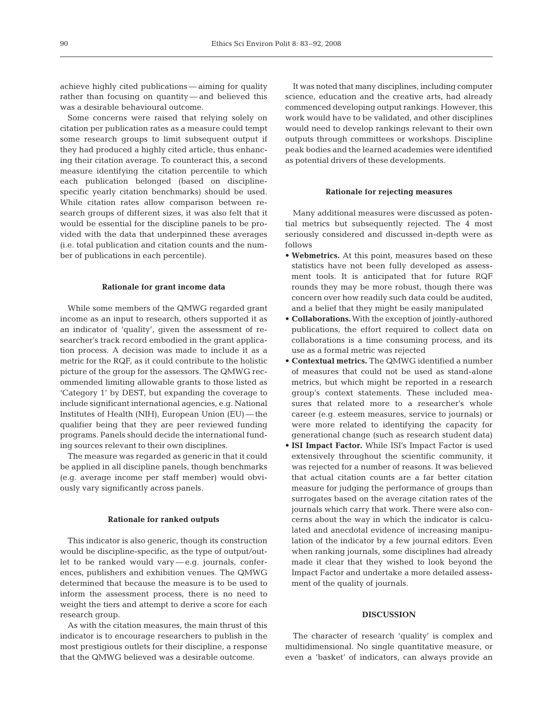achieve highly cited publications — aiming for quality rather than focusing on quantity — and believed this was a desirable behavioural outcome.

Some concerns were raised that relying solely on citation per publication rates as a measure could tempt some research groups to limit subsequent output if they had produced a highly cited article, thus enhancing their citation average. To counteract this, a second measure identifying the citation percentile to which each publication belonged (based on disciplinespecific yearly citation benchmarks) should be used. While citation rates allow comparison between research groups of different sizes, it was also felt that it would be essential for the discipline panels to be provided with the data that underpinned these averages (i.e. total publication and citation counts and the number of publications in each percentile).

#### **Rationale for grant income data**

While some members of the QMWG regarded grant income as an input to research, others supported it as an indicator of 'quality', given the assessment of researcher's track record embodied in the grant application process. A decision was made to include it as a metric for the RQF, as it could contribute to the holistic picture of the group for the assessors. The QMWG recommended limiting allowable grants to those listed as 'Category 1' by DEST, but expanding the coverage to include significant international agencies, e.g. National Institutes of Health (NIH), European Union (EU) — the qualifier being that they are peer reviewed funding programs. Panels should decide the international funding sources relevant to their own disciplines.

The measure was regarded as generic in that it could be applied in all discipline panels, though benchmarks (e.g. average income per staff member) would obviously vary significantly across panels.

#### **Rationale for ranked outputs**

This indicator is also generic, though its construction would be discipline-specific, as the type of output/outlet to be ranked would vary — e.g. journals, conferences, publishers and exhibition venues. The QMWG determined that because the measure is to be used to inform the assessment process, there is no need to weight the tiers and attempt to derive a score for each research group.

As with the citation measures, the main thrust of this indicator is to encourage researchers to publish in the most prestigious outlets for their discipline, a response that the QMWG believed was a desirable outcome.

It was noted that many disciplines, including computer science, education and the creative arts, had already commenced developing output rankings. However, this work would have to be validated, and other disciplines would need to develop rankings relevant to their own outputs through committees or workshops. Discipline peak bodies and the learned academies were identified as potential drivers of these developments.

# **Rationale for rejecting measures**

Many additional measures were discussed as potential metrics but subsequently rejected. The 4 most seriously considered and discussed in-depth were as follows

- **Webmetrics.** At this point, measures based on these statistics have not been fully developed as assessment tools. It is anticipated that for future RQF rounds they may be more robust, though there was concern over how readily such data could be audited, and a belief that they might be easily manipulated
- **Collaborations.**With the exception of jointly-authored publications, the effort required to collect data on collaborations is a time consuming process, and its use as a formal metric was rejected
- **Contextual metrics.** The QMWG identified a number of measures that could not be used as stand-alone metrics, but which might be reported in a research group's context statements. These included measures that related more to a researcher's whole career (e.g. esteem measures, service to journals) or were more related to identifying the capacity for generational change (such as research student data)
- **ISI Impact Factor.** While ISI's Impact Factor is used extensively throughout the scientific community, it was rejected for a number of reasons. It was believed that actual citation counts are a far better citation measure for judging the performance of groups than surrogates based on the average citation rates of the journals which carry that work. There were also concerns about the way in which the indicator is calculated and anecdotal evidence of increasing manipulation of the indicator by a few journal editors. Even when ranking journals, some disciplines had already made it clear that they wished to look beyond the Impact Factor and undertake a more detailed assessment of the quality of journals.

## **DISCUSSION**

The character of research 'quality' is complex and multidimensional. No single quantitative measure, or even a 'basket' of indicators, can always provide an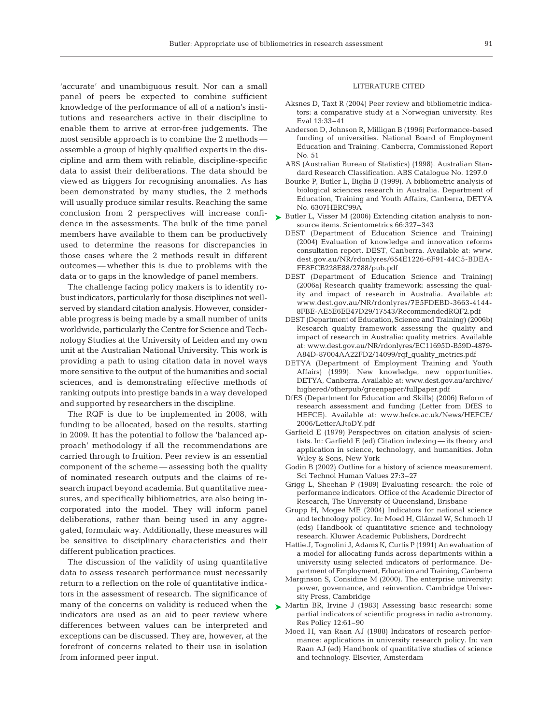'accurate' and unambiguous result. Nor can a small panel of peers be expected to combine sufficient knowledge of the performance of all of a nation's institutions and researchers active in their discipline to enable them to arrive at error-free judgements. The most sensible approach is to combine the 2 methods assemble a group of highly qualified experts in the discipline and arm them with reliable, discipline-specific data to assist their deliberations. The data should be viewed as triggers for recognising anomalies. As has been demonstrated by many studies, the 2 methods will usually produce similar results. Reaching the same conclusion from 2 perspectives will increase confidence in the assessments. The bulk of the time panel members have available to them can be productively used to determine the reasons for discrepancies in those cases where the 2 methods result in different outcomes — whether this is due to problems with the data or to gaps in the knowledge of panel members.

The challenge facing policy makers is to identify robust indicators, particularly for those disciplines not wellserved by standard citation analysis. However, considerable progress is being made by a small number of units worldwide, particularly the Centre for Science and Technology Studies at the University of Leiden and my own unit at the Australian National University. This work is providing a path to using citation data in novel ways more sensitive to the output of the humanities and social sciences, and is demonstrating effective methods of ranking outputs into prestige bands in a way developed and supported by researchers in the discipline.

The RQF is due to be implemented in 2008, with funding to be allocated, based on the results, starting in 2009. It has the potential to follow the 'balanced approach' methodology if all the recommendations are carried through to fruition. Peer review is an essential component of the scheme — assessing both the quality of nominated research outputs and the claims of research impact beyond academia. But quantitative measures, and specifically bibliometrics, are also being incorporated into the model. They will inform panel deliberations, rather than being used in any aggregated, formulaic way. Additionally, these measures will be sensitive to disciplinary characteristics and their different publication practices.

The discussion of the validity of using quantitative data to assess research performance must necessarily return to a reflection on the role of quantitative indicators in the assessment of research. The significance of many of the concerns on validity is reduced when the indicators are used as an aid to peer review where differences between values can be interpreted and exceptions can be discussed. They are, however, at the forefront of concerns related to their use in isolation from informed peer input.

## LITERATURE CITED

- Aksnes D, Taxt R (2004) Peer review and bibliometric indicators: a comparative study at a Norwegian university. Res Eval 13:33–41
- Anderson D, Johnson R, Milligan B (1996) Performance-based funding of universities. National Board of Employment Education and Training, Canberra, Commissioned Report No. 51
- ABS (Australian Bureau of Statistics) (1998). Australian Standard Research Classification. ABS Catalogue No. 1297.0
- Bourke P, Butler L, Biglia B (1999). A bibliometric analysis of biological sciences research in Australia. Department of Education, Training and Youth Affairs, Canberra, DETYA No. 6307HERC99A
- ► Butler L, Visser M (2006) Extending citation analysis to nonsource items. Scientometrics 66:327–343
	- DEST (Department of Education Science and Training) (2004) Evaluation of knowledge and innovation reforms consultation report. DEST, Canberra. Available at: www. dest.gov.au/NR/rdonlyres/654E1226-6F91-44C5-BDEA-FE8FCB228E88/2788/pub.pdf
	- DEST (Department of Education Science and Training) (2006a) Research quality framework: assessing the quality and impact of research in Australia. Available at: www.dest.gov.au/NR/rdonlyres/7E5FDEBD-3663-4144- 8FBE-AE5E6EE47D29/17543/RecommendedRQF2.pdf
	- DEST (Department of Education, Science and Training) (2006b) Research quality framework assessing the quality and impact of research in Australia: quality metrics. Available at: www.dest.gov.au/NR/rdonlyres/EC11695D-B59D-4879- A84D-87004AA22FD2/14099/rqf\_quality\_metrics.pdf
	- DETYA (Department of Employment Training and Youth Affairs) (1999). New knowledge, new opportunities. DETYA, Canberra. Available at: www.dest.gov.au/archive/ highered/otherpub/greenpaper/fullpaper.pdf
	- DfES (Department for Education and Skills) (2006) Reform of research assessment and funding (Letter from DfES to HEFCE). Available at: www.hefce.ac.uk/News/HEFCE/ 2006/LetterAJtoDY.pdf
	- Garfield E (1979) Perspectives on citation analysis of scientists. In: Garfield E (ed) Citation indexing — its theory and application in science, technology, and humanities. John Wiley & Sons, New York
	- Godin B (2002) Outline for a history of science measurement. Sci Technol Human Values 27:3–27
	- Grigg L, Sheehan P (1989) Evaluating research: the role of performance indicators. Office of the Academic Director of Research, The University of Queensland, Brisbane
	- Grupp H, Mogee ME (2004) Indicators for national science and technology policy. In: Moed H, Glänzel W, Schmoch U (eds) Handbook of quantitative science and technology research. Kluwer Academic Publishers, Dordrecht
	- Hattie J, Tognolini J, Adams K, Curtis P (1991) An evaluation of a model for allocating funds across departments within a university using selected indicators of performance. Department of Employment, Education and Training, Canberra
	- Marginson S, Considine M (2000). The enterprise university: power, governance, and reinvention. Cambridge University Press, Cambridge
- ▶ Martin BR, Irvine J (1983) Assessing basic research: some partial indicators of scientific progress in radio astronomy. Res Policy 12:61–90
	- Moed H, van Raan AJ (1988) Indicators of research performance: applications in university research policy. In: van Raan AJ (ed) Handbook of quantitative studies of science and technology. Elsevier, Amsterdam